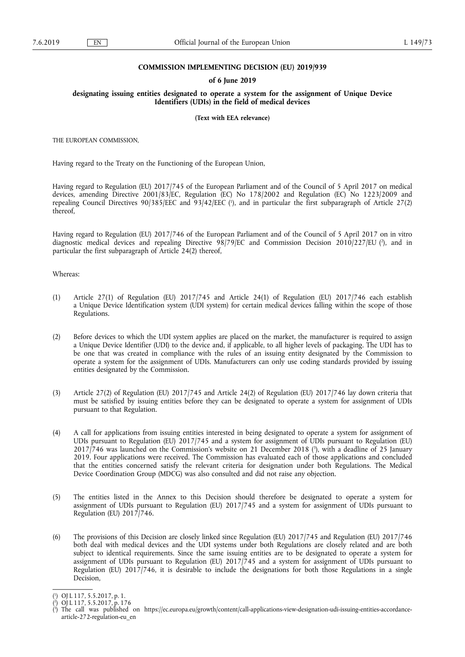### **COMMISSION IMPLEMENTING DECISION (EU) 2019/939**

### **of 6 June 2019**

### **designating issuing entities designated to operate a system for the assignment of Unique Device Identifiers (UDIs) in the field of medical devices**

#### **(Text with EEA relevance)**

THE EUROPEAN COMMISSION,

Having regard to the Treaty on the Functioning of the European Union,

Having regard to Regulation (EU) 2017/745 of the European Parliament and of the Council of 5 April 2017 on medical devices, amending Directive 2001/83/EC, Regulation (EC) No 178/2002 and Regulation (EC) No 1223/2009 and repealing Council Directives 90/385/EEC and 93/42/EEC ( 1 ), and in particular the first subparagraph of Article 27(2) thereof,

Having regard to Regulation (EU) 2017/746 of the European Parliament and of the Council of 5 April 2017 on in vitro diagnostic medical devices and repealing Directive 98/79/EC and Commission Decision 2010/227/EU ( 2 ), and in particular the first subparagraph of Article 24(2) thereof,

Whereas:

- (1) Article 27(1) of Regulation (EU) 2017/745 and Article 24(1) of Regulation (EU) 2017/746 each establish a Unique Device Identification system (UDI system) for certain medical devices falling within the scope of those Regulations.
- (2) Before devices to which the UDI system applies are placed on the market, the manufacturer is required to assign a Unique Device Identifier (UDI) to the device and, if applicable, to all higher levels of packaging. The UDI has to be one that was created in compliance with the rules of an issuing entity designated by the Commission to operate a system for the assignment of UDIs. Manufacturers can only use coding standards provided by issuing entities designated by the Commission.
- (3) Article 27(2) of Regulation (EU) 2017/745 and Article 24(2) of Regulation (EU) 2017/746 lay down criteria that must be satisfied by issuing entities before they can be designated to operate a system for assignment of UDIs pursuant to that Regulation.
- (4) A call for applications from issuing entities interested in being designated to operate a system for assignment of UDIs pursuant to Regulation (EU) 2017/745 and a system for assignment of UDIs pursuant to Regulation (EU) 2017/746 was launched on the Commission's website on 21 December 2018 ( 3 ), with a deadline of 25 January 2019. Four applications were received. The Commission has evaluated each of those applications and concluded that the entities concerned satisfy the relevant criteria for designation under both Regulations. The Medical Device Coordination Group (MDCG) was also consulted and did not raise any objection.
- (5) The entities listed in the Annex to this Decision should therefore be designated to operate a system for assignment of UDIs pursuant to Regulation (EU) 2017/745 and a system for assignment of UDIs pursuant to Regulation (EU) 2017/746.
- (6) The provisions of this Decision are closely linked since Regulation (EU) 2017/745 and Regulation (EU) 2017/746 both deal with medical devices and the UDI systems under both Regulations are closely related and are both subject to identical requirements. Since the same issuing entities are to be designated to operate a system for assignment of UDIs pursuant to Regulation (EU) 2017/745 and a system for assignment of UDIs pursuant to Regulation (EU) 2017/746, it is desirable to include the designations for both those Regulations in a single Decision,

<sup>(</sup> 1 ) OJ L 117, 5.5.2017, p. 1.

<sup>(</sup> 2 ) OJ L 117, 5.5.2017, p. 176

<sup>(</sup> 3 ) The call was published on [https://ec.europa.eu/growth/content/call-applications-view-designation-udi-issuing-entities-accordance](https://ec.europa.eu/growth/content/call-applications-view-designation-udi-issuing-entities-accordance-article-272-regulation-eu_en)[article-272-regulation-eu\\_en](https://ec.europa.eu/growth/content/call-applications-view-designation-udi-issuing-entities-accordance-article-272-regulation-eu_en)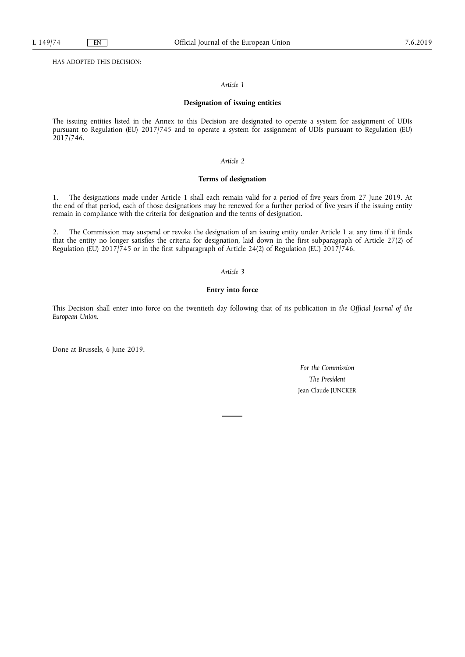HAS ADOPTED THIS DECISION:

## *Article 1*

#### **Designation of issuing entities**

The issuing entities listed in the Annex to this Decision are designated to operate a system for assignment of UDIs pursuant to Regulation (EU) 2017/745 and to operate a system for assignment of UDIs pursuant to Regulation (EU) 2017/746.

## *Article 2*

### **Terms of designation**

1. The designations made under Article 1 shall each remain valid for a period of five years from 27 June 2019. At the end of that period, each of those designations may be renewed for a further period of five years if the issuing entity remain in compliance with the criteria for designation and the terms of designation.

2. The Commission may suspend or revoke the designation of an issuing entity under Article 1 at any time if it finds that the entity no longer satisfies the criteria for designation, laid down in the first subparagraph of Article 27(2) of Regulation (EU) 2017/745 or in the first subparagraph of Article 24(2) of Regulation (EU) 2017/746.

## *Article 3*

# **Entry into force**

This Decision shall enter into force on the twentieth day following that of its publication in *the Official Journal of the European Union*.

Done at Brussels, 6 June 2019.

*For the Commission The President*  Jean-Claude JUNCKER